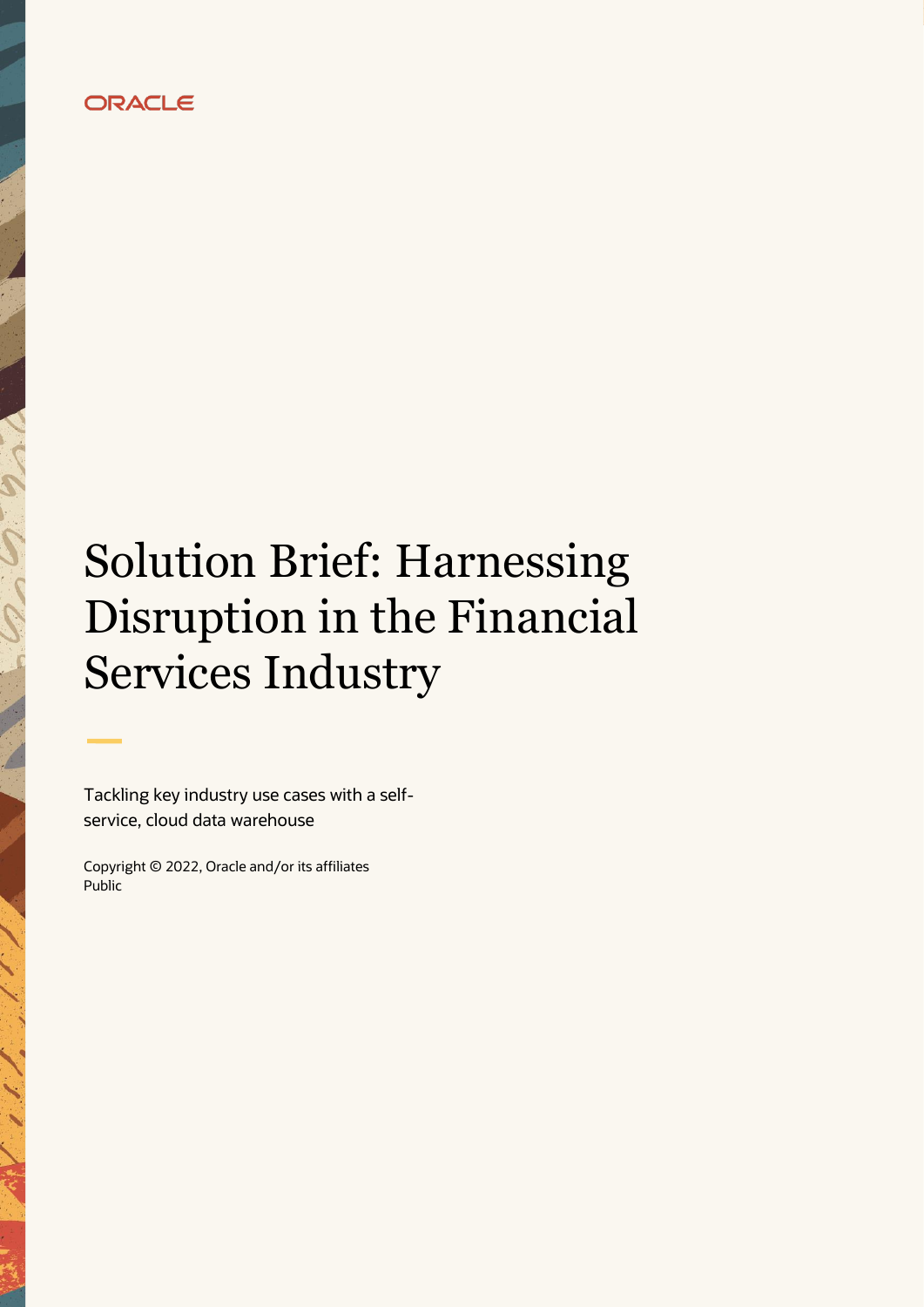# **ORACLE**

# Solution Brief: Harnessing Disruption in the Financial Services Industry

Tackling key industry use cases with a selfservice, cloud data warehouse

Copyright © 2022, Oracle and/or its affiliates Public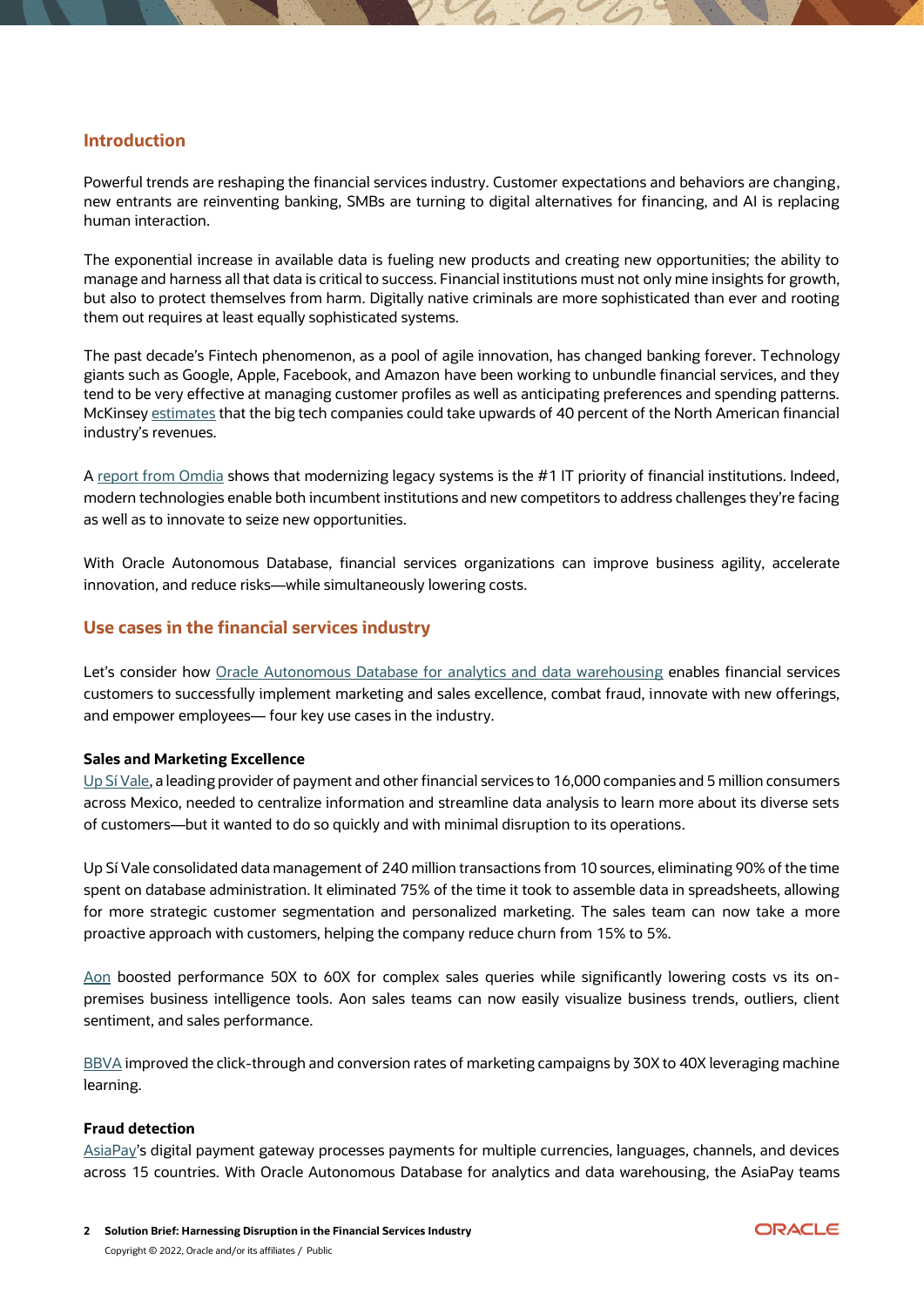#### **Introduction**

Powerful trends are reshaping the financial services industry. Customer expectations and behaviors are changing, new entrants are reinventing banking, SMBs are turning to digital alternatives for financing, and AI is replacing human interaction.

The exponential increase in available data is fueling new products and creating new opportunities; the ability to manage and harness all that data is critical to success. Financial institutions must not only mine insights for growth, but also to protect themselves from harm. Digitally native criminals are more sophisticated than ever and rooting them out requires at least equally sophisticated systems.

The past decade's Fintech phenomenon, as a pool of agile innovation, has changed banking forever. Technology giants such as Google, Apple, Facebook, and Amazon have been working to unbundle financial services, and they tend to be very effective at managing customer profiles as well as anticipating preferences and spending patterns. McKinsey [estimates](https://www.cnbc.com/2019/04/26/sensing-threat-wall-street-banks-partner-with-tech-giants-like-apple.html) that the big tech companies could take upwards of 40 percent of the North American financial industry's revenues.

A [report from Omdia](https://www.oracle.com/a/ocom/docs/database/reimagining-the-data-driven-bank.pdf) shows that modernizing legacy systems is the #1 IT priority of financial institutions. Indeed, modern technologies enable both incumbent institutions and new competitors to address challenges they're facing as well as to innovate to seize new opportunities.

With Oracle Autonomous Database, financial services organizations can improve business agility, accelerate innovation, and reduce risks—while simultaneously lowering costs.

#### **Use cases in the financial services industry**

Let's consider how [Oracle Autonomous Database for analytics and data warehousing](https://www.oracle.com/autonomous-database/autonomous-data-warehouse/) enables financial services customers to successfully implement marketing and sales excellence, combat fraud, innovate with new offerings, and empower employees— four key use cases in the industry.

#### **Sales and Marketing Excellence**

[Up Sí Vale,](https://www.oracle.com/customers/up-si-vale/) a leading provider of payment and other financial services to 16,000 companies and 5 million consumers across Mexico, needed to centralize information and streamline data analysis to learn more about its diverse sets of customers—but it wanted to do so quickly and with minimal disruption to its operations.

Up Sí Vale consolidated data management of 240 million transactions from 10 sources, eliminating 90% of the time spent on database administration. It eliminated 75% of the time it took to assemble data in spreadsheets, allowing for more strategic customer segmentation and personalized marketing. The sales team can now take a more proactive approach with customers, helping the company reduce churn from 15% to 5%.

[Aon](https://www.oracle.com/customers/aon/) boosted performance 50X to 60X for complex sales queries while significantly lowering costs vs its onpremises business intelligence tools. Aon sales teams can now easily visualize business trends, outliers, client sentiment, and sales performance.

[BBVA](https://www.oracle.com/customers/bbva/) improved the click-through and conversion rates of marketing campaigns by 30X to 40X leveraging machine learning.

#### **Fraud detection**

[AsiaPay'](https://www.oracle.com/customers/infrastructure/asiapay/)s digital payment gateway processes payments for multiple currencies, languages, channels, and devices across 15 countries. With Oracle Autonomous Database for analytics and data warehousing, the AsiaPay teams

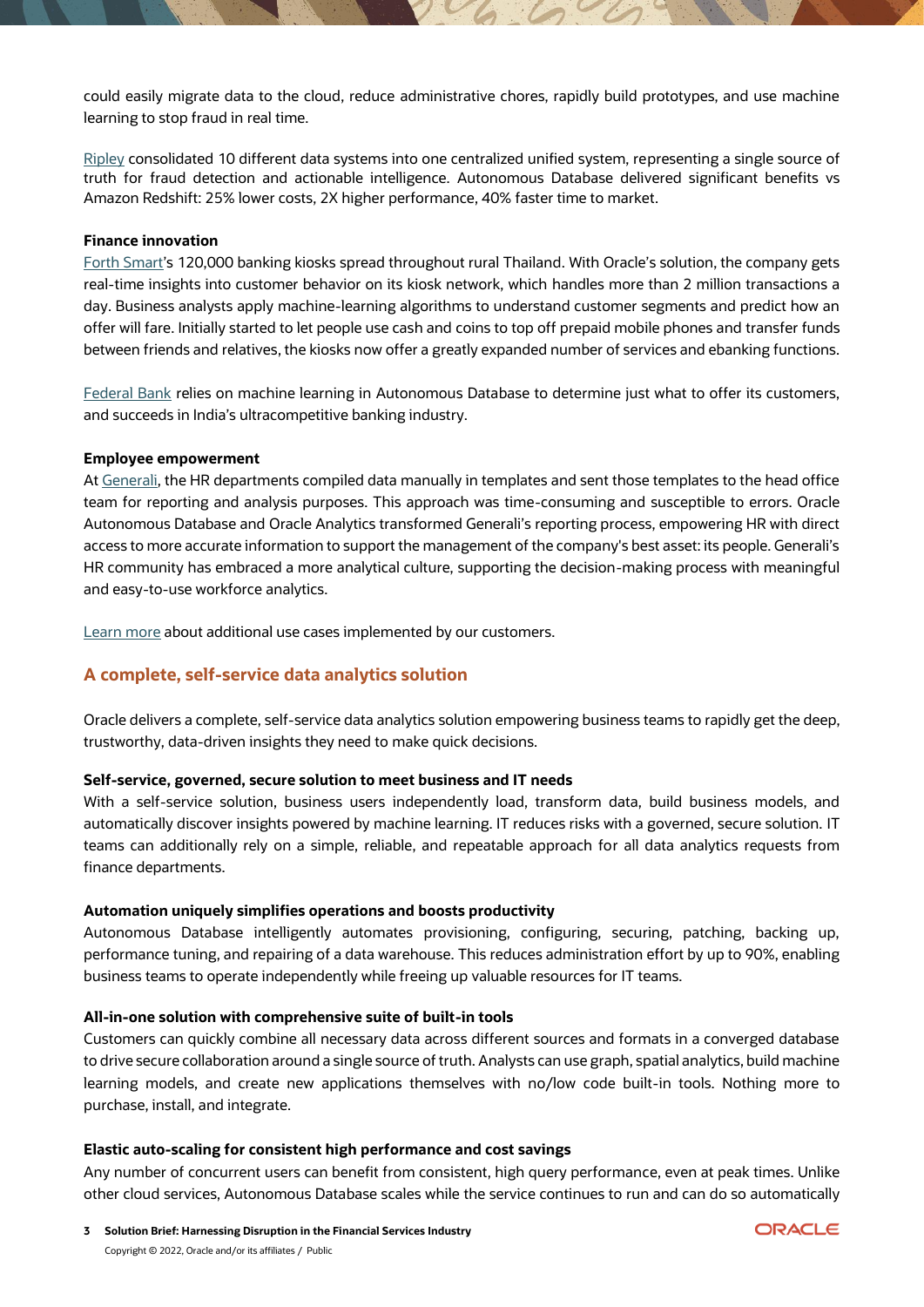could easily migrate data to the cloud, reduce administrative chores, rapidly build prototypes, and use machine learning to stop fraud in real time.

[Ripley](https://video.oracle.com/detail/video/6116554181001) consolidated 10 different data systems into one centralized unified system, representing a single source of truth for fraud detection and actionable intelligence. Autonomous Database delivered significant benefits vs Amazon Redshift: 25% lower costs, 2X higher performance, 40% faster time to market.

#### **Finance innovation**

[Forth Smart's](https://www.oracle.com/customers/infrastructure/forth-smart/) 120,000 banking kiosks spread throughout rural Thailand. With Oracle's solution, the company gets real-time insights into customer behavior on its kiosk network, which handles more than 2 million transactions a day. Business analysts apply machine-learning algorithms to understand customer segments and predict how an offer will fare. Initially started to let people use cash and coins to top off prepaid mobile phones and transfer funds between friends and relatives, the kiosks now offer a greatly expanded number of services and ebanking functions.

[Federal Bank](https://www.oracle.com/customers/infrastructure/federal-bank/) relies on machine learning in Autonomous Database to determine just what to offer its customers, and succeeds in India's ultracompetitive banking industry.

#### **Employee empowerment**

At [Generali,](https://www.oracle.com/customers/generali/) the HR departments compiled data manually in templates and sent those templates to the head office team for reporting and analysis purposes. This approach was time-consuming and susceptible to errors. Oracle Autonomous Database and Oracle Analytics transformed Generali's reporting process, empowering HR with direct access to more accurate information to support the management of the company's best asset: its people. Generali's HR community has embraced a more analytical culture, supporting the decision-making process with meaningful and easy-to-use workforce analytics.

[Learn more](https://www.oracle.com/customers/?product=mpd-cld-infra:auto-db) about additional use cases implemented by our customers.

### **A complete, self-service data analytics solution**

Oracle delivers a complete, self-service data analytics solution empowering business teams to rapidly get the deep, trustworthy, data-driven insights they need to make quick decisions.

#### **Self-service, governed, secure solution to meet business and IT needs**

With a self-service solution, business users independently load, transform data, build business models, and automatically discover insights powered by machine learning. IT reduces risks with a governed, secure solution. IT teams can additionally rely on a simple, reliable, and repeatable approach for all data analytics requests from finance departments.

#### **Automation uniquely simplifies operations and boosts productivity**

Autonomous Database intelligently automates provisioning, configuring, securing, patching, backing up, performance tuning, and repairing of a data warehouse. This reduces administration effort by up to 90%, enabling business teams to operate independently while freeing up valuable resources for IT teams.

#### **All-in-one solution with comprehensive suite of built-in tools**

Customers can quickly combine all necessary data across different sources and formats in a converged database to drive secure collaboration around a single source of truth. Analysts can use graph, spatial analytics, build machine learning models, and create new applications themselves with no/low code built-in tools. Nothing more to purchase, install, and integrate.

#### **Elastic auto-scaling for consistent high performance and cost savings**

Any number of concurrent users can benefit from consistent, high query performance, even at peak times. Unlike other cloud services, Autonomous Database scales while the service continues to run and can do so automatically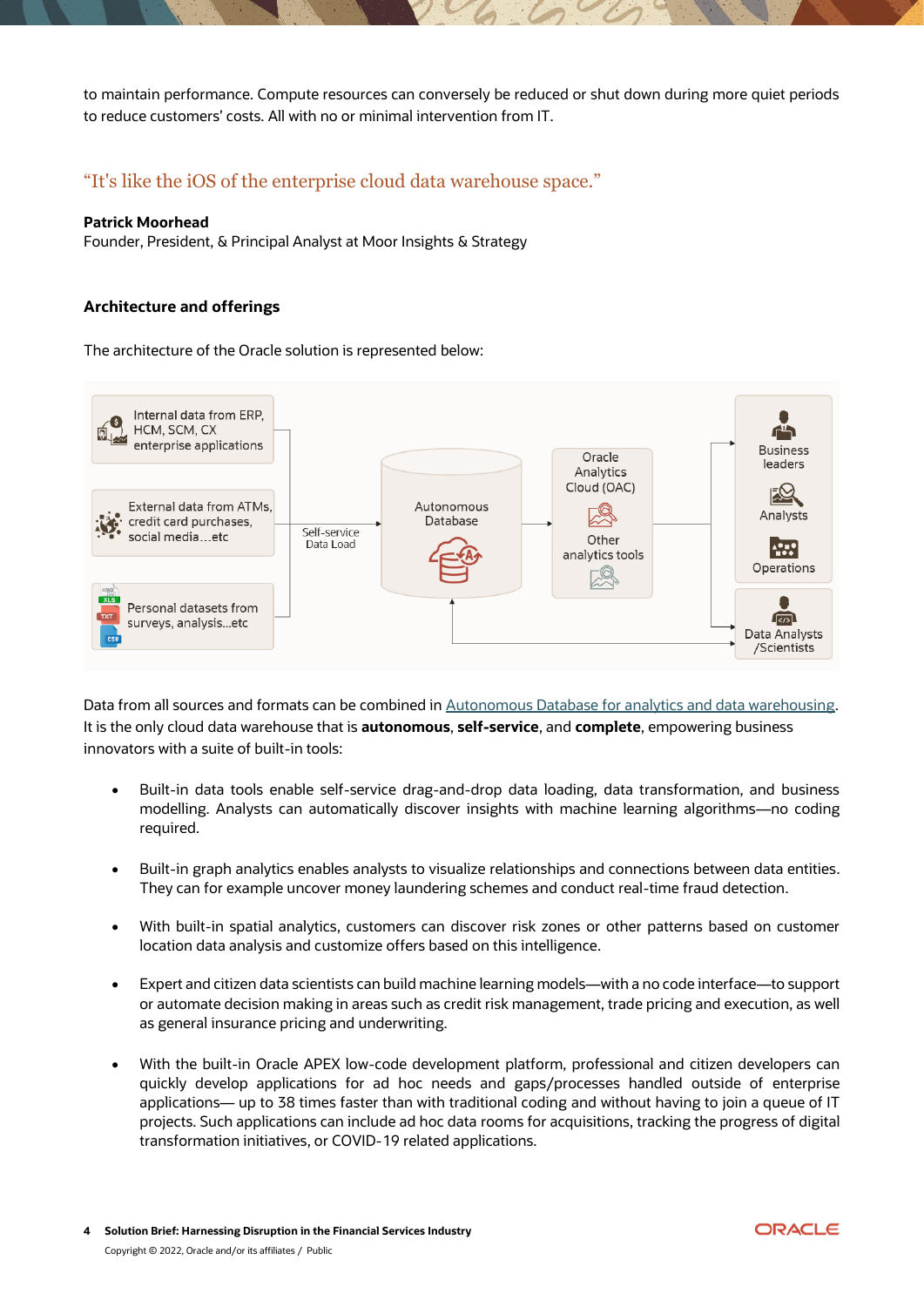to maintain performance. Compute resources can conversely be reduced or shut down during more quiet periods to reduce customers' costs. All with no or minimal intervention from IT.

## "It's like the iOS of the enterprise cloud data warehouse space."

#### **Patrick Moorhead**

Founder, President, & Principal Analyst at Moor Insights & Strategy

#### **Architecture and offerings**

The architecture of the Oracle solution is represented below:



Data from all sources and formats can be combined in [Autonomous Database for analytics and data warehousing.](https://www.oracle.com/autonomous-database/autonomous-data-warehouse/) It is the only cloud data warehouse that is **autonomous**, **self-service**, and **complete**, empowering business innovators with a suite of built-in tools:

- Built-in data tools enable self-service drag-and-drop data loading, data transformation, and business modelling. Analysts can automatically discover insights with machine learning algorithms—no coding required.
- Built-in graph analytics enables analysts to visualize relationships and connections between data entities. They can for example uncover money laundering schemes and conduct real-time fraud detection.
- With built-in spatial analytics, customers can discover risk zones or other patterns based on customer location data analysis and customize offers based on this intelligence.
- Expert and citizen data scientists can build machine learning models—with a no code interface—to support or automate decision making in areas such as credit risk management, trade pricing and execution, as well as general insurance pricing and underwriting.
- With the built-in Oracle APEX low-code development platform, professional and citizen developers can quickly develop applications for ad hoc needs and gaps/processes handled outside of enterprise applications— up to 38 times faster than with traditional coding and without having to join a queue of IT projects. Such applications can include ad hoc data rooms for acquisitions, tracking the progress of digital transformation initiatives, or COVID-19 related applications.